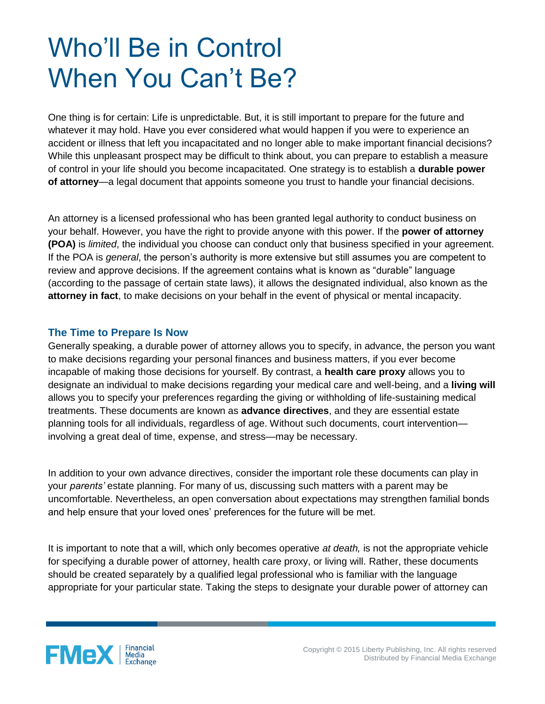## Who'll Be in Control When You Can't Be?

One thing is for certain: Life is unpredictable. But, it is still important to prepare for the future and whatever it may hold. Have you ever considered what would happen if you were to experience an accident or illness that left you incapacitated and no longer able to make important financial decisions? While this unpleasant prospect may be difficult to think about, you can prepare to establish a measure of control in your life should you become incapacitated. One strategy is to establish a **durable power of attorney**—a legal document that appoints someone you trust to handle your financial decisions.

An attorney is a licensed professional who has been granted legal authority to conduct business on your behalf. However, you have the right to provide anyone with this power. If the **power of attorney (POA)** is *limited*, the individual you choose can conduct only that business specified in your agreement. If the POA is *general*, the person's authority is more extensive but still assumes you are competent to review and approve decisions. If the agreement contains what is known as "durable" language (according to the passage of certain state laws), it allows the designated individual, also known as the **attorney in fact**, to make decisions on your behalf in the event of physical or mental incapacity.

## **The Time to Prepare Is Now**

Generally speaking, a durable power of attorney allows you to specify, in advance, the person you want to make decisions regarding your personal finances and business matters, if you ever become incapable of making those decisions for yourself. By contrast, a **health care proxy** allows you to designate an individual to make decisions regarding your medical care and well-being, and a **living will**  allows you to specify your preferences regarding the giving or withholding of life-sustaining medical treatments. These documents are known as **advance directives**, and they are essential estate planning tools for all individuals, regardless of age. Without such documents, court intervention involving a great deal of time, expense, and stress—may be necessary.

In addition to your own advance directives, consider the important role these documents can play in your *parents'* estate planning. For many of us, discussing such matters with a parent may be uncomfortable. Nevertheless, an open conversation about expectations may strengthen familial bonds and help ensure that your loved ones' preferences for the future will be met.

It is important to note that a will, which only becomes operative *at death,* is not the appropriate vehicle for specifying a durable power of attorney, health care proxy, or living will. Rather, these documents should be created separately by a qualified legal professional who is familiar with the language appropriate for your particular state. Taking the steps to designate your durable power of attorney can